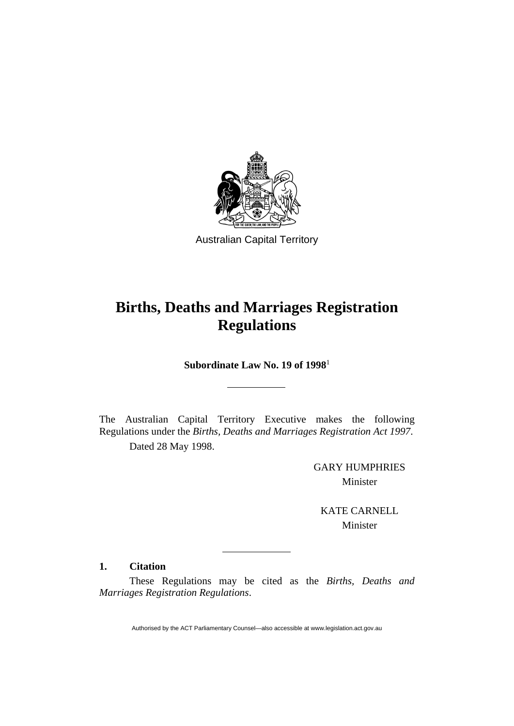

Australian Capital Territory

# **Births, Deaths and Marriages Registration Regulations**

**Subordinate Law No. 19 of 1998**<sup>1</sup>

The Australian Capital Territory Executive makes the following Regulations under the *Births, Deaths and Marriages Registration Act 1997*.

Dated 28 May 1998.

GARY HUMPHRIES Minister

KATE CARNELL Minister

# **1. Citation**

 These Regulations may be cited as the *Births, Deaths and Marriages Registration Regulations*.

Authorised by the ACT Parliamentary Counsel—also accessible at www.legislation.act.gov.au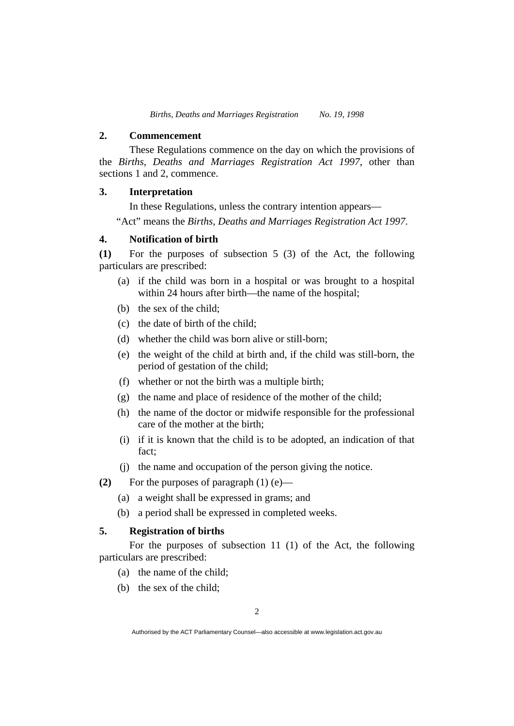#### **2. Commencement**

These Regulations commence on the day on which the provisions of the *Births, Deaths and Marriages Registration Act 1997*, other than sections 1 and 2, commence.

## **3. Interpretation**

In these Regulations, unless the contrary intention appears—

"Act" means the *Births, Deaths and Marriages Registration Act 1997*.

#### **4. Notification of birth**

**(1)** For the purposes of subsection 5 (3) of the Act, the following particulars are prescribed:

- (a) if the child was born in a hospital or was brought to a hospital within 24 hours after birth—the name of the hospital;
- (b) the sex of the child;
- (c) the date of birth of the child;
- (d) whether the child was born alive or still-born;
- (e) the weight of the child at birth and, if the child was still-born, the period of gestation of the child;
- (f) whether or not the birth was a multiple birth;
- (g) the name and place of residence of the mother of the child;
- (h) the name of the doctor or midwife responsible for the professional care of the mother at the birth;
- (i) if it is known that the child is to be adopted, an indication of that fact;
- (j) the name and occupation of the person giving the notice.
- **(2)** For the purposes of paragraph (1) (e)—
	- (a) a weight shall be expressed in grams; and
	- (b) a period shall be expressed in completed weeks.

#### **5. Registration of births**

For the purposes of subsection 11 (1) of the Act, the following particulars are prescribed:

- (a) the name of the child;
- (b) the sex of the child;

Authorised by the ACT Parliamentary Counsel—also accessible at www.legislation.act.gov.au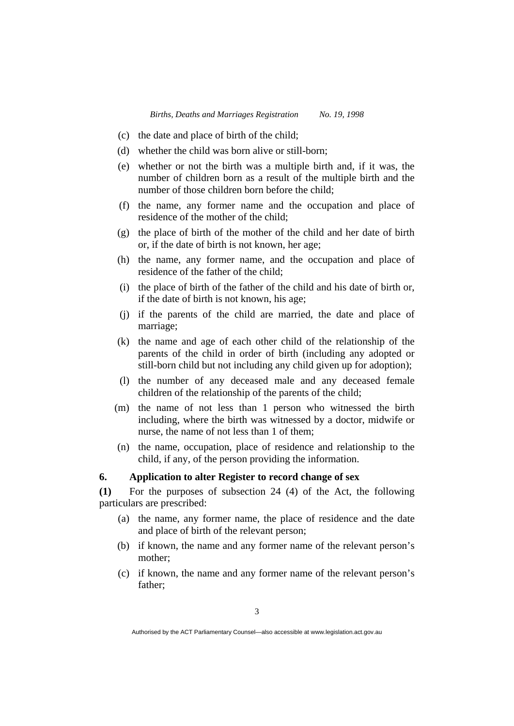- (c) the date and place of birth of the child;
- (d) whether the child was born alive or still-born;
- (e) whether or not the birth was a multiple birth and, if it was, the number of children born as a result of the multiple birth and the number of those children born before the child;
- (f) the name, any former name and the occupation and place of residence of the mother of the child;
- (g) the place of birth of the mother of the child and her date of birth or, if the date of birth is not known, her age;
- (h) the name, any former name, and the occupation and place of residence of the father of the child;
- (i) the place of birth of the father of the child and his date of birth or, if the date of birth is not known, his age;
- (j) if the parents of the child are married, the date and place of marriage;
- (k) the name and age of each other child of the relationship of the parents of the child in order of birth (including any adopted or still-born child but not including any child given up for adoption);
- (l) the number of any deceased male and any deceased female children of the relationship of the parents of the child;
- (m) the name of not less than 1 person who witnessed the birth including, where the birth was witnessed by a doctor, midwife or nurse, the name of not less than 1 of them;
- (n) the name, occupation, place of residence and relationship to the child, if any, of the person providing the information.

## **6. Application to alter Register to record change of sex**

**(1)** For the purposes of subsection 24 (4) of the Act, the following particulars are prescribed:

- (a) the name, any former name, the place of residence and the date and place of birth of the relevant person;
- (b) if known, the name and any former name of the relevant person's mother;
- (c) if known, the name and any former name of the relevant person's father;

Authorised by the ACT Parliamentary Counsel—also accessible at www.legislation.act.gov.au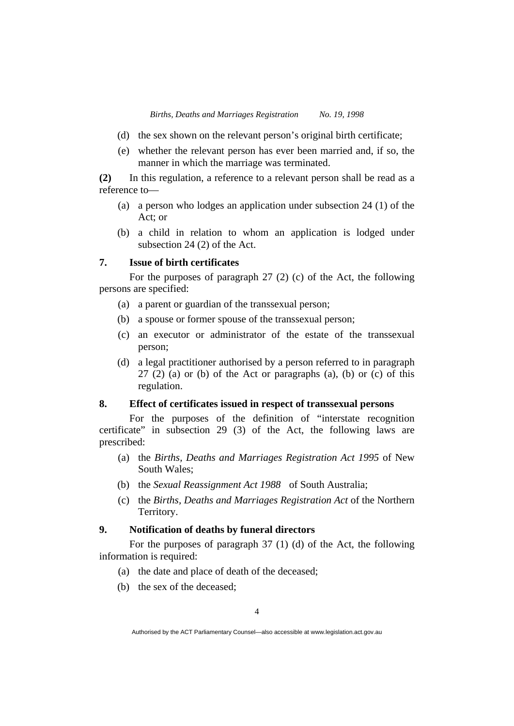- (d) the sex shown on the relevant person's original birth certificate;
- (e) whether the relevant person has ever been married and, if so, the manner in which the marriage was terminated.

**(2)** In this regulation, a reference to a relevant person shall be read as a reference to—

- (a) a person who lodges an application under subsection 24 (1) of the Act; or
- (b) a child in relation to whom an application is lodged under subsection 24 (2) of the Act.

## **7. Issue of birth certificates**

For the purposes of paragraph 27 (2) (c) of the Act, the following persons are specified:

- (a) a parent or guardian of the transsexual person;
- (b) a spouse or former spouse of the transsexual person;
- (c) an executor or administrator of the estate of the transsexual person;
- (d) a legal practitioner authorised by a person referred to in paragraph  $27$  (2) (a) or (b) of the Act or paragraphs (a), (b) or (c) of this regulation.

### **8. Effect of certificates issued in respect of transsexual persons**

For the purposes of the definition of "interstate recognition certificate" in subsection 29 (3) of the Act, the following laws are prescribed:

- (a) the *Births, Deaths and Marriages Registration Act 1995* of New South Wales;
- (b) the *Sexual Reassignment Act 1988* of South Australia;
- (c) the *Births, Deaths and Marriages Registration Act* of the Northern Territory.

#### **9. Notification of deaths by funeral directors**

For the purposes of paragraph 37 (1) (d) of the Act, the following information is required:

- (a) the date and place of death of the deceased;
- (b) the sex of the deceased;

Authorised by the ACT Parliamentary Counsel—also accessible at www.legislation.act.gov.au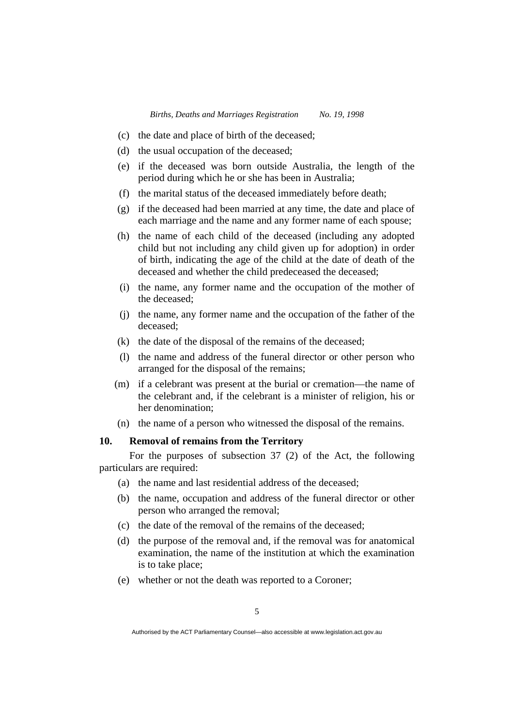- (c) the date and place of birth of the deceased;
- (d) the usual occupation of the deceased;
- (e) if the deceased was born outside Australia, the length of the period during which he or she has been in Australia;
- (f) the marital status of the deceased immediately before death;
- (g) if the deceased had been married at any time, the date and place of each marriage and the name and any former name of each spouse;
- (h) the name of each child of the deceased (including any adopted child but not including any child given up for adoption) in order of birth, indicating the age of the child at the date of death of the deceased and whether the child predeceased the deceased:
- (i) the name, any former name and the occupation of the mother of the deceased;
- (j) the name, any former name and the occupation of the father of the deceased;
- (k) the date of the disposal of the remains of the deceased;
- (l) the name and address of the funeral director or other person who arranged for the disposal of the remains;
- (m) if a celebrant was present at the burial or cremation—the name of the celebrant and, if the celebrant is a minister of religion, his or her denomination;
- (n) the name of a person who witnessed the disposal of the remains.

### **10. Removal of remains from the Territory**

For the purposes of subsection 37 (2) of the Act, the following particulars are required:

- (a) the name and last residential address of the deceased;
- (b) the name, occupation and address of the funeral director or other person who arranged the removal;
- (c) the date of the removal of the remains of the deceased;
- (d) the purpose of the removal and, if the removal was for anatomical examination, the name of the institution at which the examination is to take place;
- (e) whether or not the death was reported to a Coroner;

Authorised by the ACT Parliamentary Counsel—also accessible at www.legislation.act.gov.au